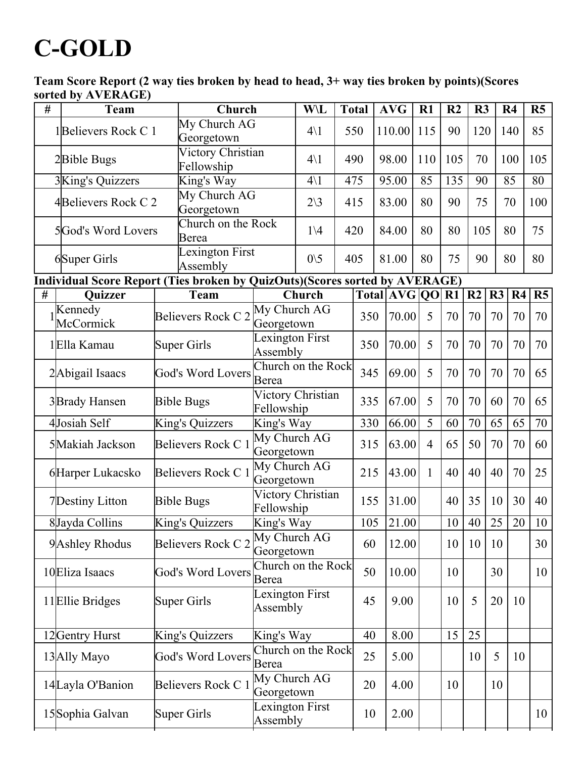## **C-GOLD**

Team Score Report (2 way ties broken by head to head, 3+ way ties broken by points)(Scores sorted by AVERAGE)

| # | $\frac{1}{2}$<br>Team |                             | Church                             |                        | <b>Total</b>                                                                |                                           | <b>AVG</b> | R1             | R <sub>2</sub> | R3             |    | R <sub>4</sub> | R <sub>5</sub> |
|---|-----------------------|-----------------------------|------------------------------------|------------------------|-----------------------------------------------------------------------------|-------------------------------------------|------------|----------------|----------------|----------------|----|----------------|----------------|
|   | 1Believers Rock C 1   | My Church AG<br>Georgetown  |                                    | $4\backslash1$         |                                                                             | 550                                       | 110.00     | 115            | 90             | 120            |    | 140            | 85             |
|   | 2Bible Bugs           | Fellowship                  | Victory Christian                  |                        |                                                                             | 490                                       | 98.00      | 110            | 105            | 70             |    | 100            | 105            |
|   | 3King's Quizzers      | King's Way                  |                                    | $4\backslash1$         |                                                                             | 475                                       | 95.00      | 85             | 135            | 90             |    | 85             | 80             |
|   | 4Believers Rock C 2   | My Church AG<br>Georgetown  |                                    | $2\backslash 3$        |                                                                             | 415                                       | 83.00      | 80             |                | 75             |    | 70             | 100            |
|   | 5God's Word Lovers    | Berea                       | Church on the Rock                 |                        | 420                                                                         |                                           | 84.00      | 80             | 80             | 105            |    | 80             | 75             |
|   | <b>6Super Girls</b>   | Lexington First<br>Assembly |                                    | $0\backslash 5$<br>405 |                                                                             |                                           | 81.00      | 80             | 75             | 90             |    | 80             | 80             |
|   |                       |                             |                                    |                        | Individual Score Report (Ties broken by QuizOuts)(Scores sorted by AVERAGE) |                                           |            |                |                |                |    |                |                |
| # | <b>Ouizzer</b>        | <b>Team</b>                 |                                    | Church                 |                                                                             | $\overline{\text{Total}}$   AVG   QO   R1 |            |                |                | R <sub>2</sub> | R3 | R <sub>4</sub> | R5             |
|   | Kennedy<br>McCormick  | Believers Rock C 2          | My Church AG<br>Georgetown         |                        |                                                                             | 350                                       | 70.00      | 5              | 70             | 70             | 70 | 70             | 70             |
|   | 1Ella Kamau           | <b>Super Girls</b>          | Lexington First<br>Assembly        |                        |                                                                             | 350                                       | 70.00      | 5              | 70             | 70             | 70 | 70             | 70             |
|   | 2Abigail Isaacs       | <b>God's Word Lovers</b>    | Church on the Rock<br>Berea        |                        |                                                                             | 345                                       | 69.00      | 5              | 70             | 70             | 70 | 70             | 65             |
|   | 3Brady Hansen         | <b>Bible Bugs</b>           | Victory Christian<br>Fellowship    |                        |                                                                             | 335<br>67.00                              |            | 5              | 70             | 70             | 60 | 70             | 65             |
|   | 4Josiah Self          | King's Quizzers             | King's Way                         |                        |                                                                             | 330                                       | 66.00      | 5              | 60             | 70             | 65 | 65             | 70             |
|   | 5Makiah Jackson       | Believers Rock C 1          | My Church AG<br>Georgetown         |                        |                                                                             | 315<br>63.00                              |            | $\overline{4}$ | 65             | 50             | 70 | 70             | 60             |
|   | 6Harper Lukacsko      | Believers Rock C 1          | My Church AG<br>Georgetown         |                        |                                                                             | 215                                       | 43.00      | $\mathbf{1}$   | 40             | 40             | 40 | 70             | 25             |
|   | 7Destiny Litton       | <b>Bible Bugs</b>           | Victory Christian<br>Fellowship    |                        |                                                                             | 155                                       | 31.00      |                | 40             | 35             | 10 | 30             | 40             |
|   | 8Jayda Collins        | King's Quizzers             | King's Way                         |                        |                                                                             | 105                                       | 21.00      |                | 10             | 40             | 25 | 20             | 10             |
|   | 9 Ashley Rhodus       | Believers Rock C 2          | My Church AG<br>Georgetown         |                        |                                                                             | 60                                        | 12.00      |                | 10             | 10             | 10 |                | 30             |
|   | 10 Eliza Isaacs       | <b>God's Word Lovers</b>    | Church on the Rock<br>Berea        |                        |                                                                             | 50                                        | 10.00      |                | 10             |                | 30 |                | 10             |
|   | 11 Ellie Bridges      | <b>Super Girls</b>          | <b>Lexington First</b><br>Assembly |                        |                                                                             | 45                                        | 9.00       |                | 10             | 5              | 20 | 10             |                |
|   | 12Gentry Hurst        | King's Quizzers             | King's Way                         |                        |                                                                             | 40                                        | 8.00       |                | 15             | 25             |    |                |                |
|   | 13Ally Mayo           | <b>God's Word Lovers</b>    | Church on the Rock<br>Berea        |                        |                                                                             | 25                                        | 5.00       |                |                | 10             | 5  | 10             |                |
|   | 14Layla O'Banion      | Believers Rock C 1          | My Church AG<br>Georgetown         |                        |                                                                             | 20                                        | 4.00       |                | 10             |                | 10 |                |                |
|   | 15Sophia Galvan       | <b>Super Girls</b>          | Lexington First<br>Assembly        |                        |                                                                             | 10                                        | 2.00       |                |                |                |    |                | 10             |
|   |                       |                             |                                    |                        |                                                                             |                                           |            |                |                |                |    |                |                |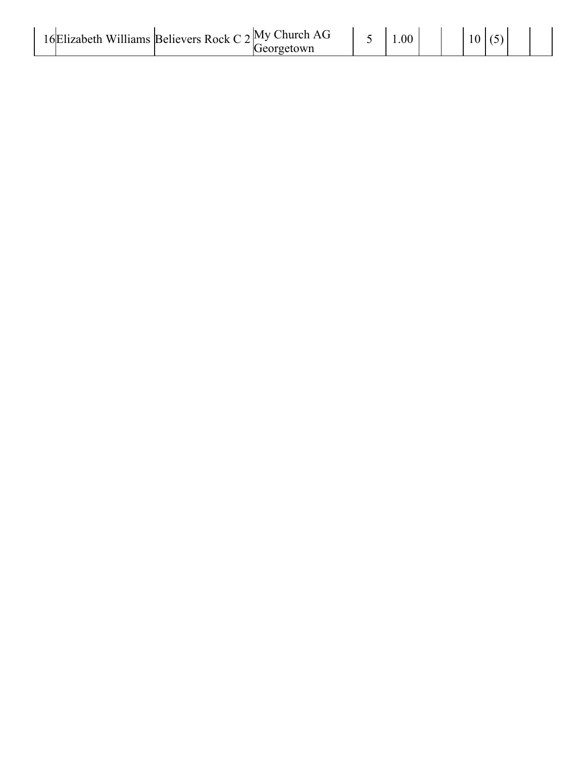| 16 Elizabeth Williams Believers Rock C $2^{My}$ Church AG<br>Georgetown |  | 0.00 |  |  |  |  |  |
|-------------------------------------------------------------------------|--|------|--|--|--|--|--|
|-------------------------------------------------------------------------|--|------|--|--|--|--|--|